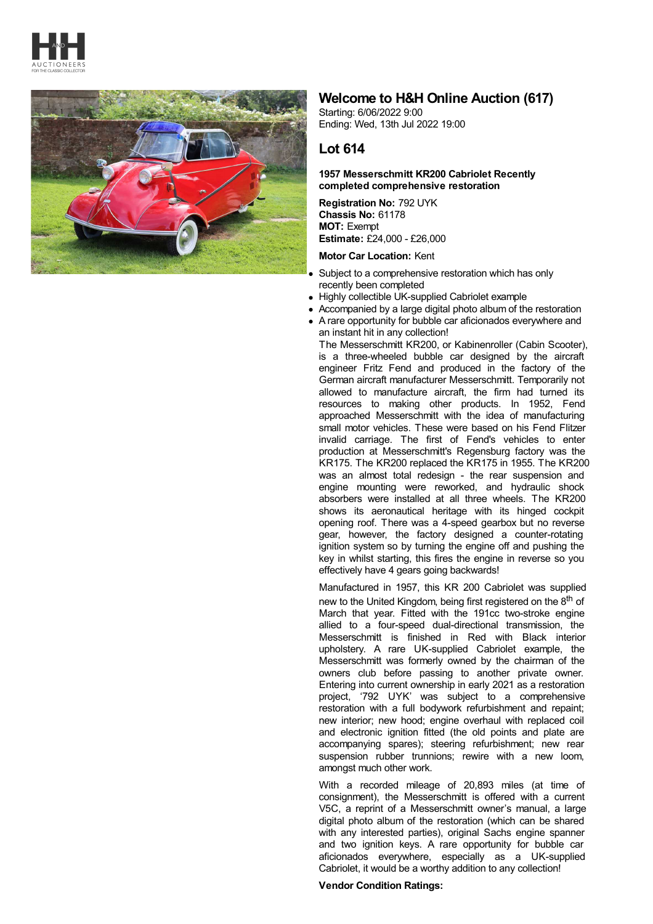



# **Welcome to H&H Online Auction (617)**

Starting: 6/06/2022 9:00 Ending: Wed, 13th Jul 2022 19:00

# **Lot 614**

## **1957 Messerschmitt KR200 Cabriolet Recently completed comprehensive restoration**

**Registration No:** 792 UYK **Chassis No:** 61178 **MOT:** Exempt **Estimate:** £24,000 - £26,000

### **Motor Car Location:** Kent

- Subject to a comprehensive restoration which has only recently been completed
- Highly collectible UK-supplied Cabriolet example
- Accompanied by a large digital photo album of the restoration
- A rare opportunity for bubble car aficionados everywhere and an instant hit in any collection!

The Messerschmitt KR200, or Kabinenroller (Cabin Scooter), is a three-wheeled bubble car designed by the aircraft engineer Fritz Fend and produced in the factory of the German aircraft manufacturer Messerschmitt. Temporarily not allowed to manufacture aircraft, the firm had turned its resources to making other products. In 1952, Fend approached Messerschmitt with the idea of manufacturing small motor vehicles. These were based on his Fend Flitzer invalid carriage. The first of Fend's vehicles to enter production at Messerschmitt's Regensburg factory was the KR175. The KR200 replaced the KR175 in 1955. The KR200 was an almost total redesign - the rear suspension and engine mounting were reworked, and hydraulic shock absorbers were installed at all three wheels. The KR200 shows its aeronautical heritage with its hinged cockpit opening roof. There was a 4-speed gearbox but no reverse gear, however, the factory designed a counter-rotating ignition system so by turning the engine off and pushing the key in whilst starting, this fires the engine in reverse so you effectively have 4 gears going backwards!

Manufactured in 1957, this KR 200 Cabriolet was supplied new to the United Kingdom, being first registered on the 8<sup>th</sup> of March that year. Fitted with the 191cc two-stroke engine allied to a four-speed dual-directional transmission, the Messerschmitt is finished in Red with Black interior upholstery. A rare UK-supplied Cabriolet example, the Messerschmitt was formerly owned by the chairman of the owners club before passing to another private owner. Entering into current ownership in early 2021 as a restoration project, '792 UYK' was subject to a comprehensive restoration with a full bodywork refurbishment and repaint; new interior; new hood; engine overhaul with replaced coil and electronic ignition fitted (the old points and plate are accompanying spares); steering refurbishment; new rear suspension rubber trunnions; rewire with a new loom, amongst much other work.

With a recorded mileage of 20,893 miles (at time of consignment), the Messerschmitt is offered with a current V5C, a reprint of a Messerschmitt owner's manual, a large digital photo album of the restoration (which can be shared with any interested parties), original Sachs engine spanner and two ignition keys. A rare opportunity for bubble car aficionados everywhere, especially as a UK-supplied Cabriolet, it would be a worthy addition to any collection!

### **Vendor Condition Ratings:**